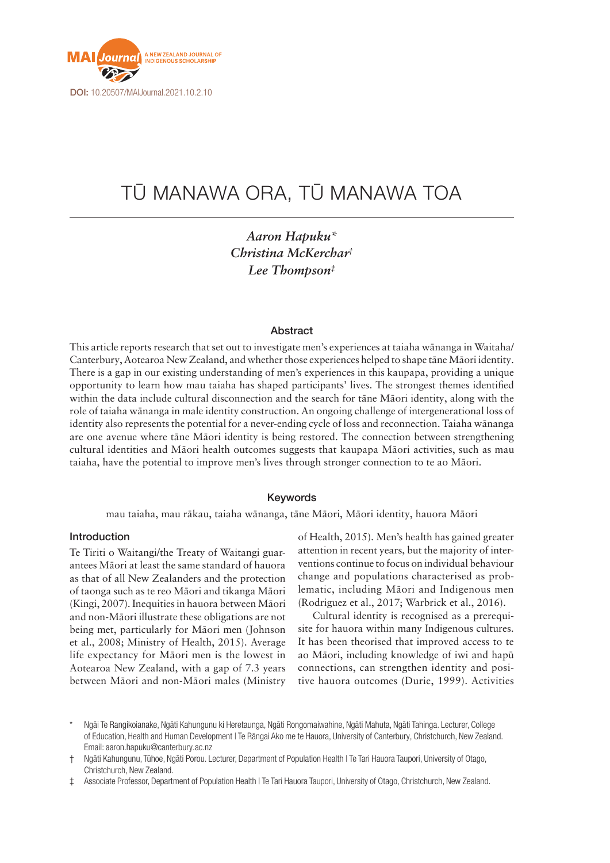

# TŪ MANAWA ORA, TŪ MANAWA TOA

*Aaron Hapuku\* Christina McKerchar† Lee Thompson‡*

#### Abstract

This article reports research that set out to investigate men's experiences at taiaha wānanga in Waitaha/ Canterbury, Aotearoa New Zealand, and whether those experiences helped to shape tāne Māori identity. There is a gap in our existing understanding of men's experiences in this kaupapa, providing a unique opportunity to learn how mau taiaha has shaped participants' lives. The strongest themes identified within the data include cultural disconnection and the search for tāne Māori identity, along with the role of taiaha wānanga in male identity construction. An ongoing challenge of intergenerational loss of identity also represents the potential for a never-ending cycle of loss and reconnection. Taiaha wānanga are one avenue where tāne Māori identity is being restored. The connection between strengthening cultural identities and Māori health outcomes suggests that kaupapa Māori activities, such as mau taiaha, have the potential to improve men's lives through stronger connection to te ao Māori.

### Keywords

mau taiaha, mau rākau, taiaha wānanga, tāne Māori, Māori identity, hauora Māori

#### Introduction

Te Tiriti o Waitangi/the Treaty of Waitangi guarantees Māori at least the same standard of hauora as that of all New Zealanders and the protection of taonga such as te reo Māori and tikanga Māori (Kingi, 2007). Inequities in hauora between Māori and non-Māori illustrate these obligations are not being met, particularly for Māori men (Johnson et al., 2008; Ministry of Health, 2015). Average life expectancy for Māori men is the lowest in Aotearoa New Zealand, with a gap of 7.3 years between Māori and non-Māori males (Ministry

of Health, 2015). Men's health has gained greater attention in recent years, but the majority of interventions continue to focus on individual behaviour change and populations characterised as problematic, including Māori and Indigenous men (Rodriguez et al., 2017; Warbrick et al., 2016).

Cultural identity is recognised as a prerequisite for hauora within many Indigenous cultures. It has been theorised that improved access to te ao Māori, including knowledge of iwi and hapū connections, can strengthen identity and positive hauora outcomes (Durie, 1999). Activities

Associate Professor, Department of Population Health | Te Tari Hauora Taupori, University of Otago, Christchurch, New Zealand.

Ngāi Te Rangikojanake, Ngāti Kahungunu ki Heretaunga, Ngāti Rongomaiwahine, Ngāti Mahuta, Ngāti Tahinga, Lecturer, College of Education, Health and Human Development | Te Rāngai Ako me te Hauora, University of Canterbury, Christchurch, New Zealand. Email: [aaron.hapuku@canterbury.ac.nz](mailto:aaron.hapuku@canterbury.ac.nz)

<sup>†</sup> Ngāti Kahungunu, Tūhoe, Ngāti Porou. Lecturer, Department of Population Health | Te Tari Hauora Taupori, University of Otago, Christchurch, New Zealand.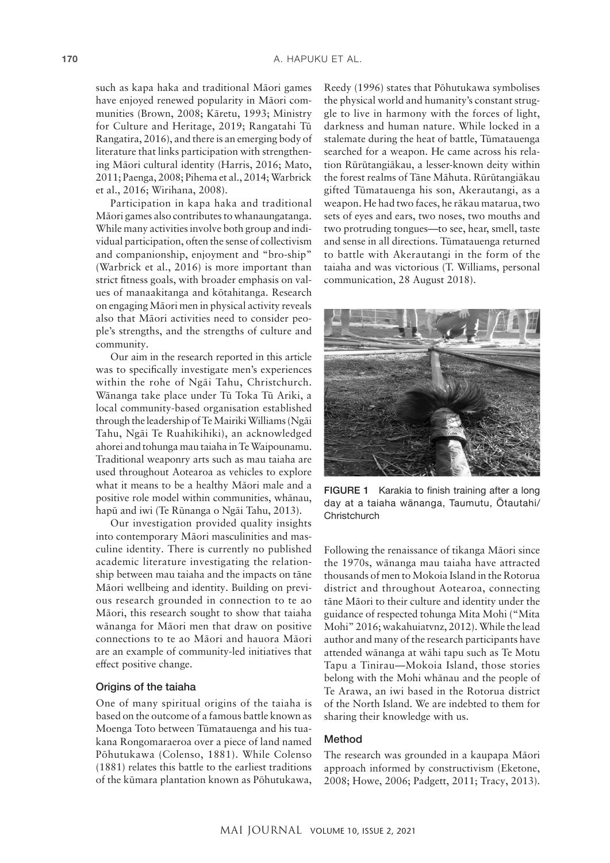such as kapa haka and traditional Māori games have enjoyed renewed popularity in Māori communities (Brown, 2008; Kāretu, 1993; Ministry for Culture and Heritage, 2019; Rangatahi Tū Rangatira, 2016), and there is an emerging body of literature that links participation with strengthening Māori cultural identity (Harris, 2016; Mato, 2011; Paenga, 2008; Pihema et al., 2014; Warbrick et al., 2016; Wirihana, 2008).

Participation in kapa haka and traditional Māori games also contributes to whanaungatanga. While many activities involve both group and individual participation, often the sense of collectivism and companionship, enjoyment and "bro-ship" (Warbrick et al., 2016) is more important than strict fitness goals, with broader emphasis on values of manaakitanga and kōtahitanga. Research on engaging Māori men in physical activity reveals also that Māori activities need to consider people's strengths, and the strengths of culture and community.

Our aim in the research reported in this article was to specifically investigate men's experiences within the rohe of Ngāi Tahu, Christchurch. Wānanga take place under Tū Toka Tū Ariki, a local community-based organisation established through the leadership of Te Mairiki Williams (Ngāi Tahu, Ngāi Te Ruahikihiki), an acknowledged ahorei and tohunga mau taiaha in Te Waipounamu. Traditional weaponry arts such as mau taiaha are used throughout Aotearoa as vehicles to explore what it means to be a healthy Māori male and a positive role model within communities, whānau, hapū and iwi (Te Rūnanga o Ngāi Tahu, 2013).

Our investigation provided quality insights into contemporary Māori masculinities and masculine identity. There is currently no published academic literature investigating the relationship between mau taiaha and the impacts on tāne Māori wellbeing and identity. Building on previous research grounded in connection to te ao Māori, this research sought to show that taiaha wānanga for Māori men that draw on positive connections to te ao Māori and hauora Māori are an example of community-led initiatives that effect positive change.

#### Origins of the taiaha

One of many spiritual origins of the taiaha is based on the outcome of a famous battle known as Moenga Toto between Tūmatauenga and his tuakana Rongomaraeroa over a piece of land named Pōhutukawa (Colenso, 1881). While Colenso (1881) relates this battle to the earliest traditions of the kūmara plantation known as Pōhutukawa,

Reedy (1996) states that Pōhutukawa symbolises the physical world and humanity's constant struggle to live in harmony with the forces of light, darkness and human nature. While locked in a stalemate during the heat of battle, Tūmatauenga searched for a weapon. He came across his relation Rūrūtangiākau, a lesser-known deity within the forest realms of Tāne Māhuta. Rūrūtangiākau gifted Tūmatauenga his son, Akerautangi, as a weapon. He had two faces, he rākau matarua, two sets of eyes and ears, two noses, two mouths and two protruding tongues—to see, hear, smell, taste and sense in all directions. Tūmatauenga returned to battle with Akerautangi in the form of the taiaha and was victorious (T. Williams, personal communication, 28 August 2018).



FIGURE 1 Karakia to finish training after a long day at a taiaha wānanga, Taumutu, Ōtautahi/ **Christchurch** 

Following the renaissance of tikanga Māori since the 1970s, wānanga mau taiaha have attracted thousands of men to Mokoia Island in the Rotorua district and throughout Aotearoa, connecting tāne Māori to their culture and identity under the guidance of respected tohunga Mita Mohi ("Mita Mohi" 2016; wakahuiatvnz, 2012). While the lead author and many of the research participants have attended wānanga at wāhi tapu such as Te Motu Tapu a Tinirau—Mokoia Island, those stories belong with the Mohi whānau and the people of Te Arawa, an iwi based in the Rotorua district of the North Island. We are indebted to them for sharing their knowledge with us.

#### Method

The research was grounded in a kaupapa Māori approach informed by constructivism (Eketone, 2008; Howe, 2006; Padgett, 2011; Tracy, 2013).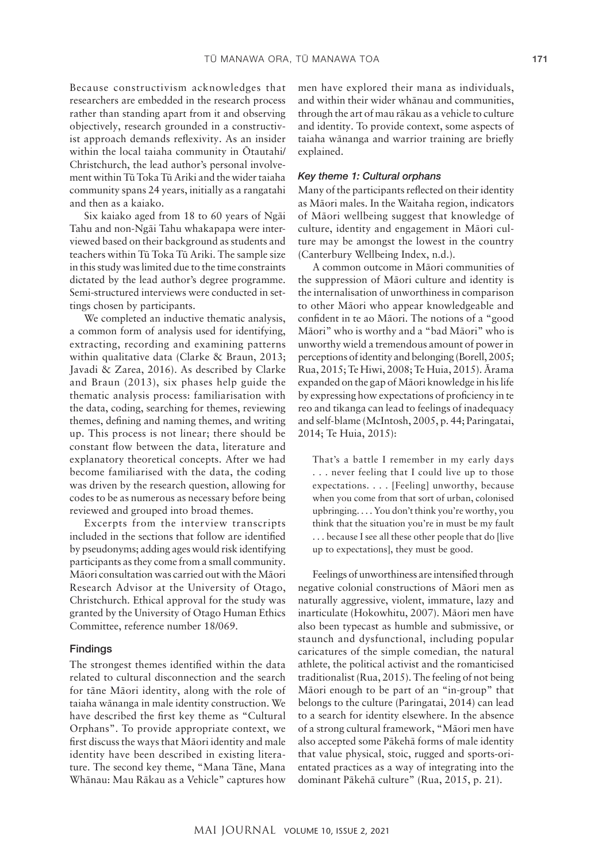Because constructivism acknowledges that researchers are embedded in the research process rather than standing apart from it and observing objectively, research grounded in a constructivist approach demands reflexivity. As an insider within the local taiaha community in Ōtautahi/ Christchurch, the lead author's personal involvement within Tū Toka Tū Ariki and the wider taiaha community spans 24 years, initially as a rangatahi and then as a kaiako.

Six kaiako aged from 18 to 60 years of Ngāi Tahu and non-Ngāi Tahu whakapapa were interviewed based on their background as students and teachers within Tū Toka Tū Ariki. The sample size in this study was limited due to the time constraints dictated by the lead author's degree programme. Semi-structured interviews were conducted in settings chosen by participants.

We completed an inductive thematic analysis, a common form of analysis used for identifying, extracting, recording and examining patterns within qualitative data (Clarke & Braun, 2013; Javadi & Zarea, 2016). As described by Clarke and Braun (2013), six phases help guide the thematic analysis process: familiarisation with the data, coding, searching for themes, reviewing themes, defining and naming themes, and writing up. This process is not linear; there should be constant flow between the data, literature and explanatory theoretical concepts. After we had become familiarised with the data, the coding was driven by the research question, allowing for codes to be as numerous as necessary before being reviewed and grouped into broad themes.

Excerpts from the interview transcripts included in the sections that follow are identified by pseudonyms; adding ages would risk identifying participants as they come from a small community. Māori consultation was carried out with the Māori Research Advisor at the University of Otago, Christchurch. Ethical approval for the study was granted by the University of Otago Human Ethics Committee, reference number 18/069.

#### Findings

The strongest themes identified within the data related to cultural disconnection and the search for tāne Māori identity, along with the role of taiaha wānanga in male identity construction. We have described the first key theme as "Cultural Orphans". To provide appropriate context, we first discuss the ways that Māori identity and male identity have been described in existing literature. The second key theme, "Mana Tāne, Mana Whānau: Mau Rākau as a Vehicle" captures how men have explored their mana as individuals, and within their wider whānau and communities, through the art of mau rākau as a vehicle to culture and identity. To provide context, some aspects of taiaha wānanga and warrior training are briefly explained.

#### *Key theme 1: Cultural orphans*

Many of the participants reflected on their identity as Māori males. In the Waitaha region, indicators of Māori wellbeing suggest that knowledge of culture, identity and engagement in Māori culture may be amongst the lowest in the country (Canterbury Wellbeing Index, n.d.).

A common outcome in Māori communities of the suppression of Māori culture and identity is the internalisation of unworthiness in comparison to other Māori who appear knowledgeable and confident in te ao Māori. The notions of a "good Māori" who is worthy and a "bad Māori" who is unworthy wield a tremendous amount of power in perceptions of identity and belonging (Borell, 2005; Rua, 2015; Te Hiwi, 2008; Te Huia, 2015). Ārama expanded on the gap of Māori knowledge in his life by expressing how expectations of proficiency in te reo and tikanga can lead to feelings of inadequacy and self-blame (McIntosh, 2005, p. 44; Paringatai, 2014; Te Huia, 2015):

That's a battle I remember in my early days . . . never feeling that I could live up to those expectations. . . . [Feeling] unworthy, because when you come from that sort of urban, colonised upbringing. . . . You don't think you're worthy, you think that the situation you're in must be my fault . . . because I see all these other people that do [live up to expectations], they must be good.

Feelings of unworthiness are intensified through negative colonial constructions of Māori men as naturally aggressive, violent, immature, lazy and inarticulate (Hokowhitu, 2007). Māori men have also been typecast as humble and submissive, or staunch and dysfunctional, including popular caricatures of the simple comedian, the natural athlete, the political activist and the romanticised traditionalist (Rua, 2015). The feeling of not being Māori enough to be part of an "in-group" that belongs to the culture (Paringatai, 2014) can lead to a search for identity elsewhere. In the absence of a strong cultural framework, "Māori men have also accepted some Pākehā forms of male identity that value physical, stoic, rugged and sports-orientated practices as a way of integrating into the dominant Pākehā culture" (Rua, 2015, p. 21).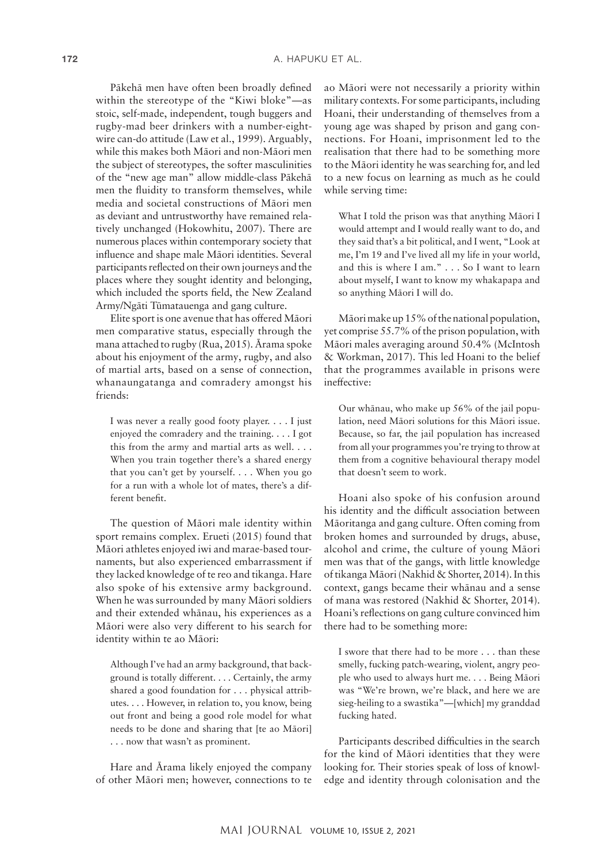Pākehā men have often been broadly defined within the stereotype of the "Kiwi bloke"—as stoic, self-made, independent, tough buggers and rugby-mad beer drinkers with a number-eightwire can-do attitude (Law et al., 1999). Arguably, while this makes both Māori and non-Māori men the subject of stereotypes, the softer masculinities of the "new age man" allow middle-class Pākehā men the fluidity to transform themselves, while media and societal constructions of Māori men as deviant and untrustworthy have remained relatively unchanged (Hokowhitu, 2007). There are numerous places within contemporary society that influence and shape male Māori identities. Several participants reflected on their own journeys and the places where they sought identity and belonging, which included the sports field, the New Zealand Army/Ngāti Tūmatauenga and gang culture.

Elite sport is one avenue that has offered Māori men comparative status, especially through the mana attached to rugby (Rua, 2015). Ārama spoke about his enjoyment of the army, rugby, and also of martial arts, based on a sense of connection, whanaungatanga and comradery amongst his friends:

I was never a really good footy player. . . . I just enjoyed the comradery and the training. . . . I got this from the army and martial arts as well. . . . When you train together there's a shared energy that you can't get by yourself. . . . When you go for a run with a whole lot of mates, there's a different benefit.

The question of Māori male identity within sport remains complex. Erueti (2015) found that Māori athletes enjoyed iwi and marae-based tournaments, but also experienced embarrassment if they lacked knowledge of te reo and tikanga. Hare also spoke of his extensive army background. When he was surrounded by many Māori soldiers and their extended whānau, his experiences as a Māori were also very different to his search for identity within te ao Māori:

Although I've had an army background, that background is totally different. . . . Certainly, the army shared a good foundation for . . . physical attributes. . . . However, in relation to, you know, being out front and being a good role model for what needs to be done and sharing that [te ao Māori] . . . now that wasn't as prominent.

Hare and Ārama likely enjoyed the company of other Māori men; however, connections to te

ao Māori were not necessarily a priority within military contexts. For some participants, including Hoani, their understanding of themselves from a young age was shaped by prison and gang connections. For Hoani, imprisonment led to the realisation that there had to be something more to the Māori identity he was searching for, and led to a new focus on learning as much as he could while serving time:

What I told the prison was that anything Māori I would attempt and I would really want to do, and they said that's a bit political, and I went, "Look at me, I'm 19 and I've lived all my life in your world, and this is where I am." . . . So I want to learn about myself, I want to know my whakapapa and so anything Māori I will do.

Māori make up 15% of the national population, yet comprise 55.7% of the prison population, with Māori males averaging around 50.4% (McIntosh & Workman, 2017). This led Hoani to the belief that the programmes available in prisons were ineffective:

Our whānau, who make up 56% of the jail population, need Māori solutions for this Māori issue. Because, so far, the jail population has increased from all your programmes you're trying to throw at them from a cognitive behavioural therapy model that doesn't seem to work.

Hoani also spoke of his confusion around his identity and the difficult association between Māoritanga and gang culture. Often coming from broken homes and surrounded by drugs, abuse, alcohol and crime, the culture of young Māori men was that of the gangs, with little knowledge of tikanga Māori (Nakhid & Shorter, 2014). In this context, gangs became their whānau and a sense of mana was restored (Nakhid & Shorter, 2014). Hoani's reflections on gang culture convinced him there had to be something more:

I swore that there had to be more . . . than these smelly, fucking patch-wearing, violent, angry people who used to always hurt me. . . . Being Māori was "We're brown, we're black, and here we are sieg-heiling to a swastika"—[which] my granddad fucking hated.

Participants described difficulties in the search for the kind of Māori identities that they were looking for. Their stories speak of loss of knowledge and identity through colonisation and the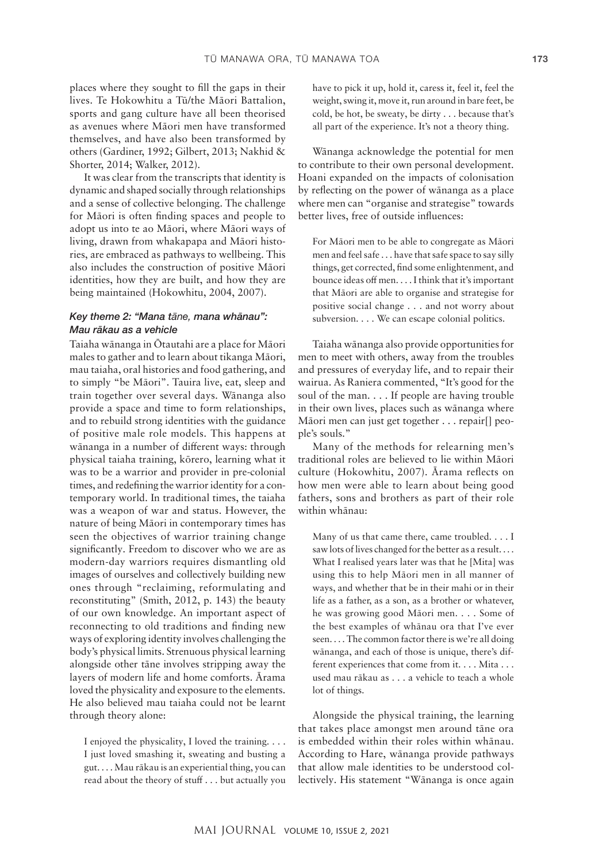places where they sought to fill the gaps in their lives. Te Hokowhitu a Tū/the Māori Battalion, sports and gang culture have all been theorised as avenues where Māori men have transformed themselves, and have also been transformed by others (Gardiner, 1992; Gilbert, 2013; Nakhid & Shorter, 2014; Walker, 2012).

It was clear from the transcripts that identity is dynamic and shaped socially through relationships and a sense of collective belonging. The challenge for Māori is often finding spaces and people to adopt us into te ao Māori, where Māori ways of living, drawn from whakapapa and Māori histories, are embraced as pathways to wellbeing. This also includes the construction of positive Māori identities, how they are built, and how they are being maintained (Hokowhitu, 2004, 2007).

## *Key theme 2: "Mana tāne, mana whānau": Mau rākau as a vehicle*

Taiaha wānanga in Ōtautahi are a place for Māori males to gather and to learn about tikanga Māori, mau taiaha, oral histories and food gathering, and to simply "be Māori". Tauira live, eat, sleep and train together over several days. Wānanga also provide a space and time to form relationships, and to rebuild strong identities with the guidance of positive male role models. This happens at wānanga in a number of different ways: through physical taiaha training, kōrero, learning what it was to be a warrior and provider in pre-colonial times, and redefining the warrior identity for a contemporary world. In traditional times, the taiaha was a weapon of war and status. However, the nature of being Māori in contemporary times has seen the objectives of warrior training change significantly. Freedom to discover who we are as modern-day warriors requires dismantling old images of ourselves and collectively building new ones through "reclaiming, reformulating and reconstituting" (Smith, 2012, p. 143) the beauty of our own knowledge. An important aspect of reconnecting to old traditions and finding new ways of exploring identity involves challenging the body's physical limits. Strenuous physical learning alongside other tāne involves stripping away the layers of modern life and home comforts. Ārama loved the physicality and exposure to the elements. He also believed mau taiaha could not be learnt through theory alone:

I enjoyed the physicality, I loved the training. . . . I just loved smashing it, sweating and busting a gut. . . . Mau rākau is an experiential thing, you can read about the theory of stuff . . . but actually you

have to pick it up, hold it, caress it, feel it, feel the weight, swing it, move it, run around in bare feet, be cold, be hot, be sweaty, be dirty . . . because that's all part of the experience. It's not a theory thing.

Wānanga acknowledge the potential for men to contribute to their own personal development. Hoani expanded on the impacts of colonisation by reflecting on the power of wānanga as a place where men can "organise and strategise" towards better lives, free of outside influences:

For Māori men to be able to congregate as Māori men and feel safe . . . have that safe space to say silly things, get corrected, find some enlightenment, and bounce ideas off men. . . . I think that it's important that Māori are able to organise and strategise for positive social change . . . and not worry about subversion. . . . We can escape colonial politics.

Taiaha wānanga also provide opportunities for men to meet with others, away from the troubles and pressures of everyday life, and to repair their wairua. As Raniera commented, "It's good for the soul of the man. . . . If people are having trouble in their own lives, places such as wānanga where Māori men can just get together . . . repair[] people's souls."

Many of the methods for relearning men's traditional roles are believed to lie within Māori culture (Hokowhitu, 2007). Ārama reflects on how men were able to learn about being good fathers, sons and brothers as part of their role within whānau:

Many of us that came there, came troubled. . . . I saw lots of lives changed for the better as a result. . . . What I realised years later was that he [Mita] was using this to help Māori men in all manner of ways, and whether that be in their mahi or in their life as a father, as a son, as a brother or whatever, he was growing good Māori men. . . . Some of the best examples of whānau ora that I've ever seen. . . . The common factor there is we're all doing wānanga, and each of those is unique, there's different experiences that come from it. . . . Mita . . . used mau rākau as . . . a vehicle to teach a whole lot of things.

Alongside the physical training, the learning that takes place amongst men around tāne ora is embedded within their roles within whānau. According to Hare, wānanga provide pathways that allow male identities to be understood collectively. His statement "Wānanga is once again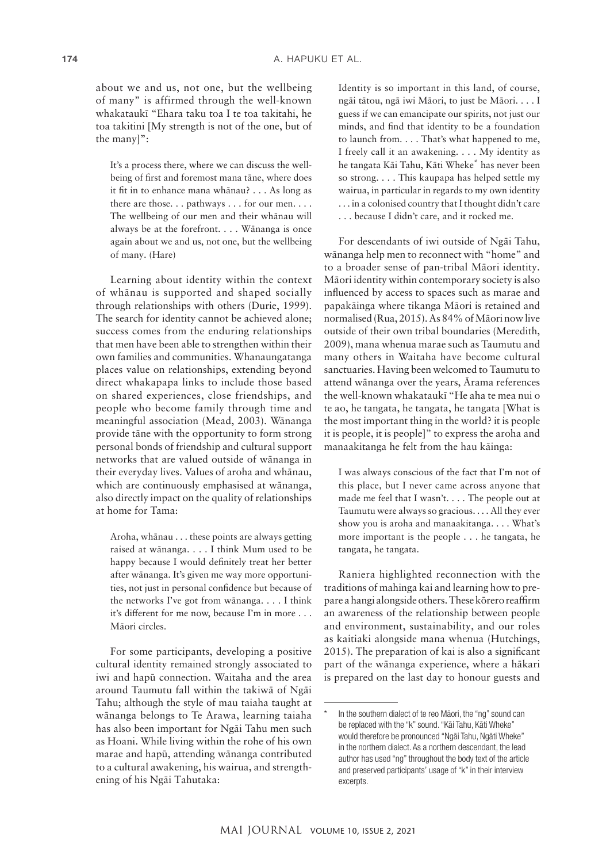about we and us, not one, but the wellbeing of many" is affirmed through the well-known whakataukī "Ehara taku toa I te toa takitahi, he toa takitini [My strength is not of the one, but of the many]":

It's a process there, where we can discuss the wellbeing of first and foremost mana tāne, where does it fit in to enhance mana whānau? . . . As long as there are those. . . pathways . . . for our men. . . . The wellbeing of our men and their whānau will always be at the forefront. . . . Wānanga is once again about we and us, not one, but the wellbeing of many. (Hare)

Learning about identity within the context of whānau is supported and shaped socially through relationships with others (Durie, 1999). The search for identity cannot be achieved alone; success comes from the enduring relationships that men have been able to strengthen within their own families and communities. Whanaungatanga places value on relationships, extending beyond direct whakapapa links to include those based on shared experiences, close friendships, and people who become family through time and meaningful association (Mead, 2003). Wānanga provide tāne with the opportunity to form strong personal bonds of friendship and cultural support networks that are valued outside of wānanga in their everyday lives. Values of aroha and whānau, which are continuously emphasised at wānanga, also directly impact on the quality of relationships at home for Tama:

Aroha, whānau . . . these points are always getting raised at wānanga. . . . I think Mum used to be happy because I would definitely treat her better after wānanga. It's given me way more opportunities, not just in personal confidence but because of the networks I've got from wānanga. . . . I think it's different for me now, because I'm in more . . . Māori circles.

For some participants, developing a positive cultural identity remained strongly associated to iwi and hapū connection. Waitaha and the area around Taumutu fall within the takiwā of Ngāi Tahu; although the style of mau taiaha taught at wānanga belongs to Te Arawa, learning taiaha has also been important for Ngāi Tahu men such as Hoani. While living within the rohe of his own marae and hapū, attending wānanga contributed to a cultural awakening, his wairua, and strengthening of his Ngāi Tahutaka:

Identity is so important in this land, of course, ngāi tātou, ngā iwi Māori, to just be Māori. . . . I guess if we can emancipate our spirits, not just our minds, and find that identity to be a foundation to launch from. . . . That's what happened to me, I freely call it an awakening. . . . My identity as he tangata Kāi Tahu, Kāti Wheke\* has never been so strong. . . . This kaupapa has helped settle my wairua, in particular in regards to my own identity . . . in a colonised country that I thought didn't care . . . because I didn't care, and it rocked me.

For descendants of iwi outside of Ngāi Tahu, wānanga help men to reconnect with "home" and to a broader sense of pan-tribal Māori identity. Māori identity within contemporary society is also influenced by access to spaces such as marae and papakāinga where tikanga Māori is retained and normalised (Rua, 2015). As 84% of Māori now live outside of their own tribal boundaries (Meredith, 2009), mana whenua marae such as Taumutu and many others in Waitaha have become cultural sanctuaries. Having been welcomed to Taumutu to attend wānanga over the years, Ārama references the well-known whakataukī "He aha te mea nui o te ao, he tangata, he tangata, he tangata [What is the most important thing in the world? it is people it is people, it is people]" to express the aroha and manaakitanga he felt from the hau kāinga:

I was always conscious of the fact that I'm not of this place, but I never came across anyone that made me feel that I wasn't. . . . The people out at Taumutu were always so gracious. . . . All they ever show you is aroha and manaakitanga. . . . What's more important is the people . . . he tangata, he tangata, he tangata.

Raniera highlighted reconnection with the traditions of mahinga kai and learning how to prepare a hangi alongside others. These kōrero reaffirm an awareness of the relationship between people and environment, sustainability, and our roles as kaitiaki alongside mana whenua (Hutchings, 2015). The preparation of kai is also a significant part of the wānanga experience, where a hākari is prepared on the last day to honour guests and

In the southern dialect of te reo Māori, the "ng" sound can be replaced with the "k" sound. "Kāi Tahu, Kāti Wheke" would therefore be pronounced "Ngāi Tahu, Ngāti Wheke" in the northern dialect. As a northern descendant, the lead author has used "ng" throughout the body text of the article and preserved participants' usage of "k" in their interview excerpts.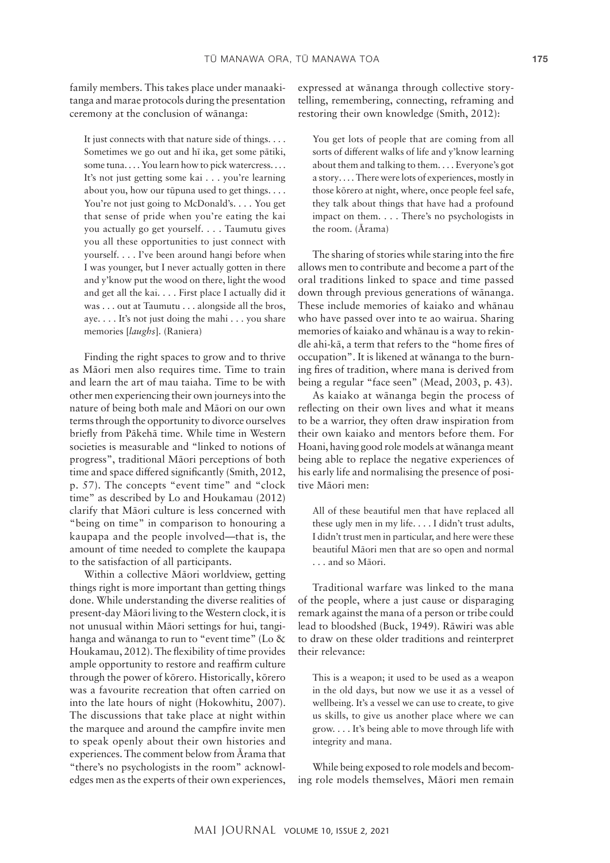family members. This takes place under manaakitanga and marae protocols during the presentation ceremony at the conclusion of wānanga:

It just connects with that nature side of things. . . . Sometimes we go out and hī ika, get some pātiki, some tuna.... You learn how to pick watercress.... It's not just getting some kai . . . you're learning about you, how our tūpuna used to get things. . . . You're not just going to McDonald's. . . . You get that sense of pride when you're eating the kai you actually go get yourself. . . . Taumutu gives you all these opportunities to just connect with yourself. . . . I've been around hangi before when I was younger, but I never actually gotten in there and y'know put the wood on there, light the wood and get all the kai. . . . First place I actually did it was . . . out at Taumutu . . . alongside all the bros, aye. . . . It's not just doing the mahi . . . you share memories [*laughs*]. (Raniera)

Finding the right spaces to grow and to thrive as Māori men also requires time. Time to train and learn the art of mau taiaha. Time to be with other men experiencing their own journeys into the nature of being both male and Māori on our own terms through the opportunity to divorce ourselves briefly from Pākehā time. While time in Western societies is measurable and "linked to notions of progress", traditional Māori perceptions of both time and space differed significantly (Smith, 2012, p. 57). The concepts "event time" and "clock time" as described by Lo and Houkamau (2012) clarify that Māori culture is less concerned with "being on time" in comparison to honouring a kaupapa and the people involved—that is, the amount of time needed to complete the kaupapa to the satisfaction of all participants.

Within a collective Māori worldview, getting things right is more important than getting things done. While understanding the diverse realities of present-day Māori living to the Western clock, it is not unusual within Māori settings for hui, tangihanga and wānanga to run to "event time" (Lo & Houkamau, 2012). The flexibility of time provides ample opportunity to restore and reaffirm culture through the power of kōrero. Historically, kōrero was a favourite recreation that often carried on into the late hours of night (Hokowhitu, 2007). The discussions that take place at night within the marquee and around the campfire invite men to speak openly about their own histories and experiences. The comment below from Ārama that "there's no psychologists in the room" acknowledges men as the experts of their own experiences, expressed at wānanga through collective storytelling, remembering, connecting, reframing and restoring their own knowledge (Smith, 2012):

You get lots of people that are coming from all sorts of different walks of life and y'know learning about them and talking to them. . . . Everyone's got a story. . . . There were lots of experiences, mostly in those kōrero at night, where, once people feel safe, they talk about things that have had a profound impact on them. . . . There's no psychologists in the room. (Ārama)

The sharing of stories while staring into the fire allows men to contribute and become a part of the oral traditions linked to space and time passed down through previous generations of wānanga. These include memories of kaiako and whānau who have passed over into te ao wairua. Sharing memories of kaiako and whānau is a way to rekindle ahi-kā, a term that refers to the "home fires of occupation". It is likened at wānanga to the burning fires of tradition, where mana is derived from being a regular "face seen" (Mead, 2003, p. 43).

As kaiako at wānanga begin the process of reflecting on their own lives and what it means to be a warrior, they often draw inspiration from their own kaiako and mentors before them. For Hoani, having good role models at wānanga meant being able to replace the negative experiences of his early life and normalising the presence of positive Māori men:

All of these beautiful men that have replaced all these ugly men in my life. . . . I didn't trust adults, I didn't trust men in particular, and here were these beautiful Māori men that are so open and normal . . . and so Māori.

Traditional warfare was linked to the mana of the people, where a just cause or disparaging remark against the mana of a person or tribe could lead to bloodshed (Buck, 1949). Rāwiri was able to draw on these older traditions and reinterpret their relevance:

This is a weapon; it used to be used as a weapon in the old days, but now we use it as a vessel of wellbeing. It's a vessel we can use to create, to give us skills, to give us another place where we can grow. . . . It's being able to move through life with integrity and mana.

While being exposed to role models and becoming role models themselves, Māori men remain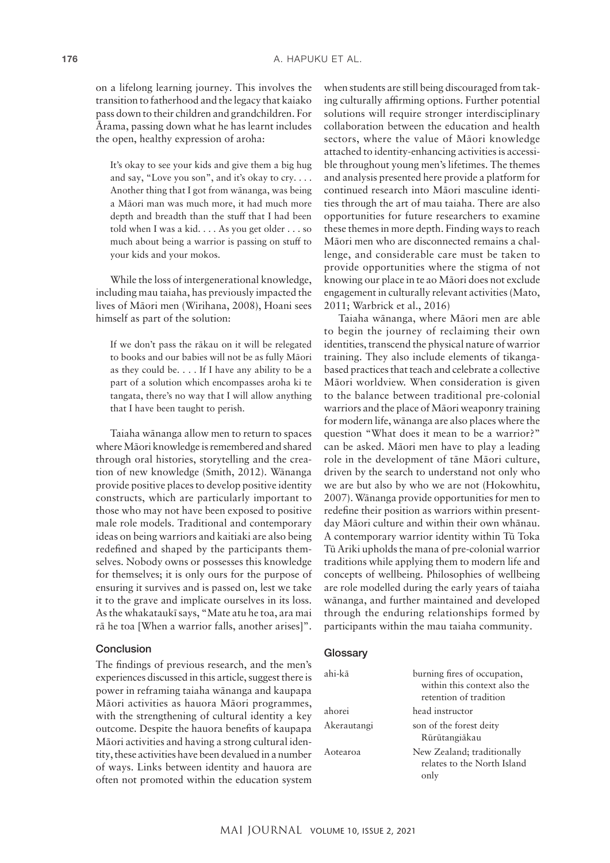on a lifelong learning journey. This involves the transition to fatherhood and the legacy that kaiako pass down to their children and grandchildren. For Ārama, passing down what he has learnt includes the open, healthy expression of aroha:

It's okay to see your kids and give them a big hug and say, "Love you son", and it's okay to cry. . . . Another thing that I got from wānanga, was being a Māori man was much more, it had much more depth and breadth than the stuff that I had been told when I was a kid. . . . As you get older . . . so much about being a warrior is passing on stuff to your kids and your mokos.

While the loss of intergenerational knowledge, including mau taiaha, has previously impacted the lives of Māori men (Wirihana, 2008), Hoani sees himself as part of the solution:

If we don't pass the rākau on it will be relegated to books and our babies will not be as fully Māori as they could be. . . . If I have any ability to be a part of a solution which encompasses aroha ki te tangata, there's no way that I will allow anything that I have been taught to perish.

Taiaha wānanga allow men to return to spaces where Māori knowledge is remembered and shared through oral histories, storytelling and the creation of new knowledge (Smith, 2012). Wānanga provide positive places to develop positive identity constructs, which are particularly important to those who may not have been exposed to positive male role models. Traditional and contemporary ideas on being warriors and kaitiaki are also being redefined and shaped by the participants themselves. Nobody owns or possesses this knowledge for themselves; it is only ours for the purpose of ensuring it survives and is passed on, lest we take it to the grave and implicate ourselves in its loss. As the whakataukī says, "Mate atu he toa, ara mai rā he toa [When a warrior falls, another arises]".

#### Conclusion

The findings of previous research, and the men's experiences discussed in this article, suggest there is power in reframing taiaha wānanga and kaupapa Māori activities as hauora Māori programmes, with the strengthening of cultural identity a key outcome. Despite the hauora benefits of kaupapa Māori activities and having a strong cultural identity, these activities have been devalued in a number of ways. Links between identity and hauora are often not promoted within the education system

when students are still being discouraged from taking culturally affirming options. Further potential solutions will require stronger interdisciplinary collaboration between the education and health sectors, where the value of Māori knowledge attached to identity-enhancing activities is accessible throughout young men's lifetimes. The themes and analysis presented here provide a platform for continued research into Māori masculine identities through the art of mau taiaha. There are also opportunities for future researchers to examine these themes in more depth. Finding ways to reach Māori men who are disconnected remains a challenge, and considerable care must be taken to provide opportunities where the stigma of not knowing our place in te ao Māori does not exclude engagement in culturally relevant activities (Mato, 2011; Warbrick et al., 2016)

Taiaha wānanga, where Māori men are able to begin the journey of reclaiming their own identities, transcend the physical nature of warrior training. They also include elements of tikangabased practices that teach and celebrate a collective Māori worldview. When consideration is given to the balance between traditional pre-colonial warriors and the place of Māori weaponry training for modern life, wānanga are also places where the question "What does it mean to be a warrior?" can be asked. Māori men have to play a leading role in the development of tāne Māori culture, driven by the search to understand not only who we are but also by who we are not (Hokowhitu, 2007). Wānanga provide opportunities for men to redefine their position as warriors within presentday Māori culture and within their own whānau. A contemporary warrior identity within Tū Toka Tū Ariki upholds the mana of pre-colonial warrior traditions while applying them to modern life and concepts of wellbeing. Philosophies of wellbeing are role modelled during the early years of taiaha wānanga, and further maintained and developed through the enduring relationships formed by participants within the mau taiaha community.

#### **Glossary**

| ahi-kā      | burning fires of occupation,<br>within this context also the<br>retention of tradition |
|-------------|----------------------------------------------------------------------------------------|
| ahorei      | head instructor                                                                        |
| Akerautangi | son of the forest deity<br>Rūrūtangiākau                                               |
| Aotearoa    | New Zealand; traditionally<br>relates to the North Island<br>only                      |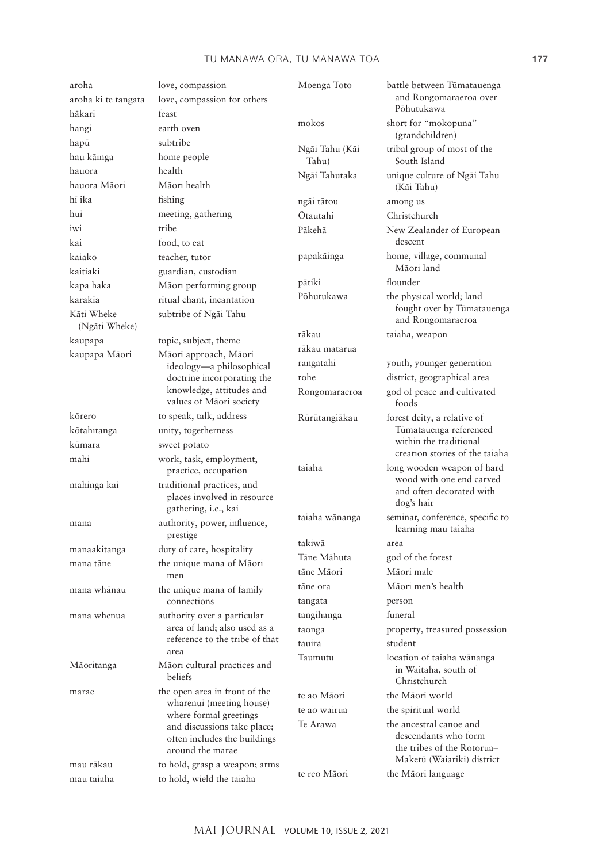## TŪ MANAWA ORA, TŪ MANAWA TOA **177**

| aroha<br>aroha ki te tangata | love, compassion<br>love, compassion for others                                                                    | Moenga Toto             | battle between Tūmatauenga<br>and Rongomaraeroa over               |
|------------------------------|--------------------------------------------------------------------------------------------------------------------|-------------------------|--------------------------------------------------------------------|
| hākari                       | feast                                                                                                              |                         | Põhutukawa                                                         |
| hangi                        | earth oven                                                                                                         | mokos                   | short for "mokopuna"                                               |
| hapū                         | subtribe                                                                                                           |                         | (grandchildren)                                                    |
| hau kāinga                   | home people                                                                                                        | Ngāi Tahu (Kāi<br>Tahu) | tribal group of most of the<br>South Island                        |
| hauora<br>hauora Māori       | health<br>Māori health                                                                                             | Ngāi Tahutaka           | unique culture of Ngāi Tahu<br>(Kāi Tahu)                          |
| hī ika                       | fishing                                                                                                            | ngāi tātou              | among us                                                           |
| hui                          | meeting, gathering                                                                                                 | Ōtautahi                | Christchurch                                                       |
| iwi                          | tribe                                                                                                              | Pākehā                  | New Zealander of European                                          |
| kai                          | food, to eat                                                                                                       |                         | descent                                                            |
| kaiako                       | teacher, tutor                                                                                                     | papakāinga              | home, village, communal                                            |
| kaitiaki                     | guardian, custodian                                                                                                |                         | Māori land                                                         |
| kapa haka                    | Māori performing group                                                                                             | pātiki                  | flounder                                                           |
| karakia                      | ritual chant, incantation                                                                                          | Pōhutukawa              | the physical world; land                                           |
| Kāti Wheke<br>(Ngāti Wheke)  | subtribe of Ngāi Tahu                                                                                              |                         | fought over by Tūmatauenga<br>and Rongomaraeroa                    |
| kaupapa                      | topic, subject, theme                                                                                              | rākau                   | taiaha, weapon                                                     |
| kaupapa Māori                | Māori approach, Māori                                                                                              | rākau matarua           |                                                                    |
|                              | ideology-a philosophical                                                                                           | rangatahi               | youth, younger generation                                          |
|                              | doctrine incorporating the                                                                                         | rohe                    | district, geographical area                                        |
|                              | knowledge, attitudes and<br>values of Māori society                                                                | Rongomaraeroa           | god of peace and cultivated<br>foods                               |
| kōrero                       | to speak, talk, address                                                                                            | Rūrūtangiākau           | forest deity, a relative of                                        |
| kōtahitanga                  | unity, togetherness                                                                                                |                         | Tūmatauenga referenced                                             |
| kūmara                       | sweet potato                                                                                                       |                         | within the traditional<br>creation stories of the taiaha           |
| mahi                         | work, task, employment,                                                                                            | taiaha                  | long wooden weapon of hard                                         |
|                              | practice, occupation                                                                                               |                         | wood with one end carved                                           |
| mahinga kai                  | traditional practices, and<br>places involved in resource<br>gathering, i.e., kai                                  |                         | and often decorated with<br>dog's hair                             |
| mana                         | authority, power, influence,<br>prestige                                                                           | taiaha wānanga          | seminar, conference, specific to<br>learning mau taiaha            |
| manaakitanga                 | duty of care, hospitality                                                                                          | takiwā                  | area                                                               |
| mana tāne                    | the unique mana of Māori                                                                                           | Tāne Māhuta             | god of the forest                                                  |
|                              | men                                                                                                                | tāne Māori              | Māori male                                                         |
| mana whānau                  | the unique mana of family                                                                                          | tāne ora                | Māori men's health                                                 |
|                              | connections                                                                                                        | tangata                 | person                                                             |
| mana whenua                  | authority over a particular<br>area of land; also used as a                                                        | tangihanga              | funeral                                                            |
|                              |                                                                                                                    | taonga                  | property, treasured possession                                     |
|                              | reference to the tribe of that                                                                                     | tauira                  | student                                                            |
| Māoritanga                   | area<br>Māori cultural practices and<br>beliefs                                                                    | Taumutu                 | location of taiaha wānanga<br>in Waitaha, south of<br>Christchurch |
| marae                        | the open area in front of the<br>wharenui (meeting house)<br>where formal greetings<br>and discussions take place; | te ao Māori             | the Māori world                                                    |
|                              |                                                                                                                    | te ao wairua            | the spiritual world                                                |
|                              |                                                                                                                    | Te Arawa                | the ancestral canoe and                                            |
|                              | often includes the buildings                                                                                       |                         | descendants who form                                               |
|                              | around the marae                                                                                                   |                         | the tribes of the Rotorua-                                         |
| mau rākau                    | to hold, grasp a weapon; arms                                                                                      |                         | Maketū (Waiariki) district                                         |
| mau taiaha                   | to hold, wield the taiaha                                                                                          | te reo Māori            | the Māori language                                                 |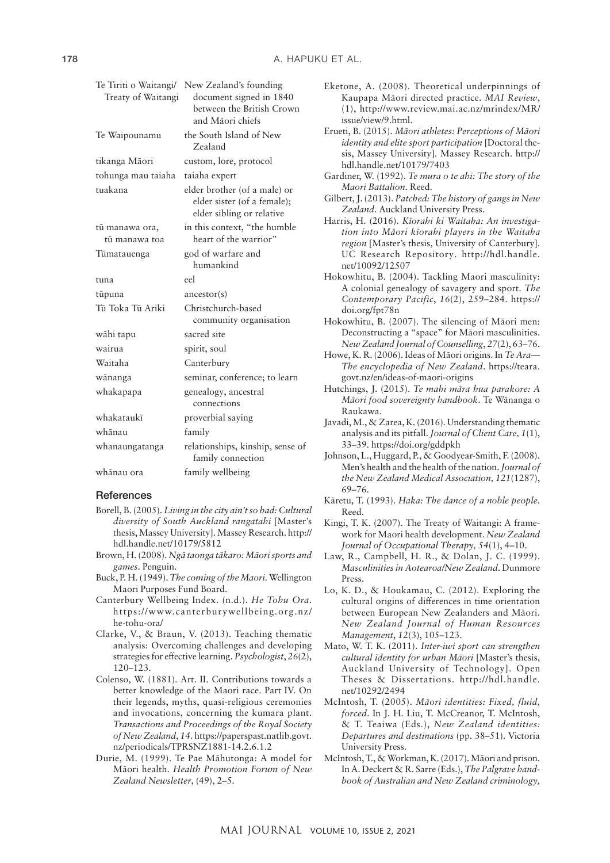| Te Tiriti o Waitangi/ | New Zealand's founding                                                                   |
|-----------------------|------------------------------------------------------------------------------------------|
| Treaty of Waitangi    | document signed in 1840<br>between the British Crown<br>and Māori chiefs                 |
|                       |                                                                                          |
| Te Waipounamu         | the South Island of New<br>Zealand                                                       |
| tikanga Māori         | custom, lore, protocol                                                                   |
| tohunga mau taiaha    | taiaha expert                                                                            |
| tuakana               | elder brother (of a male) or<br>elder sister (of a female);<br>elder sibling or relative |
| tū manawa ora,        | in this context, "the humble                                                             |
| tū manawa toa         | heart of the warrior"                                                                    |
| Tūmatauenga           | god of warfare and                                                                       |
|                       | humankind                                                                                |
| tuna                  | eel.                                                                                     |
| tūpuna                | $\arccos{\text{tor(s)}}$                                                                 |
| Tū Toka Tū Ariki      | Christchurch-based<br>community organisation                                             |
| wāhi tapu             | sacred site                                                                              |
| wairua                | spirit, soul                                                                             |
| Waitaha               | Canterbury                                                                               |
| wānanga               | seminar, conference; to learn                                                            |
| whakapapa             | genealogy, ancestral<br>connections                                                      |
| whakataukī            | proverbial saying                                                                        |
| whānau                | family                                                                                   |
| whanaungatanga        | relationships, kinship, sense of<br>family connection                                    |
| whānau ora            | family wellbeing                                                                         |
|                       |                                                                                          |

#### **References**

- Borell, B. (2005). *Living in the city ain't so bad: Cultural diversity of South Auckland rangatahi* [Master's thesis, Massey University]. Massey Research. [http://](http://hdl.handle.net/10179/5812) [hdl.handle.net/10179/5812](http://hdl.handle.net/10179/5812)
- Brown, H. (2008). *Ngā taonga tākaro: Māori sports and games*. Penguin.
- Buck, P. H. (1949). *The coming of the Maori*. Wellington Maori Purposes Fund Board.
- Canterbury Wellbeing Index. (n.d.). *He Tohu Ora*. [https://www.canterburywellbeing.org.nz/](https://www.canterburywellbeing.org.nz/he-tohu-ora/) [he-tohu-ora/](https://www.canterburywellbeing.org.nz/he-tohu-ora/)
- Clarke, V., & Braun, V. (2013). Teaching thematic analysis: Overcoming challenges and developing strategies for effective learning. *Psychologist*, *26*(2), 120–123.
- Colenso, W. (1881). Art. II. Contributions towards a better knowledge of the Maori race. Part IV. On their legends, myths, quasi-religious ceremonies and invocations, concerning the kumara plant. *Transactions and Proceedings of the Royal Society of New Zealand*, *14*. [https://paperspast.natlib.govt.](https://paperspast.natlib.govt.nz/periodicals/TPRSNZ1881-14.2.6.1.2) [nz/periodicals/TPRSNZ1881-14.2.6.1.2](https://paperspast.natlib.govt.nz/periodicals/TPRSNZ1881-14.2.6.1.2)
- Durie, M. (1999). Te Pae Māhutonga: A model for Māori health. *Health Promotion Forum of New Zealand Newsletter*, (49), 2–5.
- Eketone, A. (2008). Theoretical underpinnings of Kaupapa Māori directed practice. *MAI Review*, (1), [http://www.review.mai.ac.nz/mrindex/MR/](http://www.review.mai.ac.nz/mrindex/MR/issue/view/9.html) [issue/view/9.html](http://www.review.mai.ac.nz/mrindex/MR/issue/view/9.html).
- Erueti, B. (2015). *Māori athletes: Perceptions of Māori identity and elite sport participation* [Doctoral thesis, Massey University]. Massey Research. [http://](http://hdl.handle.net/10179/7403) [hdl.handle.net/10179/7403](http://hdl.handle.net/10179/7403)
- Gardiner, W. (1992). *Te mura o te ahi: The story of the Maori Battalion*. Reed.
- Gilbert, J. (2013). *Patched: The history of gangs in New Zealand*. Auckland University Press.
- Harris, H. (2016). *Kīorahi ki Waitaha: An investigation into Māori kīorahi players in the Waitaha region* [Master's thesis, University of Canterbury]. UC Research Repository. [http://hdl.handle.](http://hdl.handle.net/10092/12507) [net/10092/12507](http://hdl.handle.net/10092/12507)
- Hokowhitu, B. (2004). Tackling Maori masculinity: A colonial genealogy of savagery and sport. *The Contemporary Pacific*, *16*(2), 259–284. [https://](https://doi.org/fpt78n) [doi.org/fpt78n](https://doi.org/fpt78n)
- Hokowhitu, B. (2007). The silencing of Māori men: Deconstructing a "space" for Māori masculinities. *New Zealand Journal of Counselling*, *27*(2), 63–76.
- Howe, K. R. (2006). Ideas of Māori origins. In *Te Ara— The encyclopedia of New Zealand*. [https://teara.](https://teara.govt.nz/en/ideas-of-maori-origins) [govt.nz/en/ideas-of-maori-origins](https://teara.govt.nz/en/ideas-of-maori-origins)
- Hutchings, J. (2015). *Te mahi māra hua parakore: A Māori food sovereignty handbook*. Te Wānanga o Raukawa.
- Javadi, M., & Zarea, K. (2016). Understanding thematic analysis and its pitfall. *Journal of Client Care, 1*(1), 33–39. <https://doi.org/gddpkh>
- Johnson, L., Huggard, P., & Goodyear-Smith, F. (2008). Men's health and the health of the nation. *Journal of the New Zealand Medical Association, 121*(1287), 69–76.
- Kāretu, T. (1993). *Haka: The dance of a noble people*. Reed.
- Kingi, T. K. (2007). The Treaty of Waitangi: A framework for Maori health development. *New Zealand Journal of Occupational Therapy, 54*(1), 4–10.
- Law, R., Campbell, H. R., & Dolan, J. C. (1999). *Masculinities in Aotearoa/New Zealand*. Dunmore Press.
- Lo, K. D., & Houkamau, C. (2012). Exploring the cultural origins of differences in time orientation between European New Zealanders and Māori. *New Zealand Journal of Human Resources Management*, *12*(3), 105–123.
- Mato, W. T. K. (2011). *Inter-iwi sport can strengthen cultural identity for urban Māori* [Master's thesis, Auckland University of Technology]. Open Theses & Dissertations. [http://hdl.handle.](http://hdl.handle.net/10292/2494) [net/10292/2494](http://hdl.handle.net/10292/2494)
- McIntosh, T. (2005). *Māori identities: Fixed, fluid, forced*. In J. H. Liu, T. McCreanor, T. McIntosh, & T. Teaiwa (Eds.), *New Zealand identities: Departures and destinations* (pp. 38–51). Victoria University Press.
- McIntosh, T., & Workman, K. (2017). Māori and prison. In A. Deckert & R. Sarre (Eds.), *The Palgrave handbook of Australian and New Zealand criminology,*